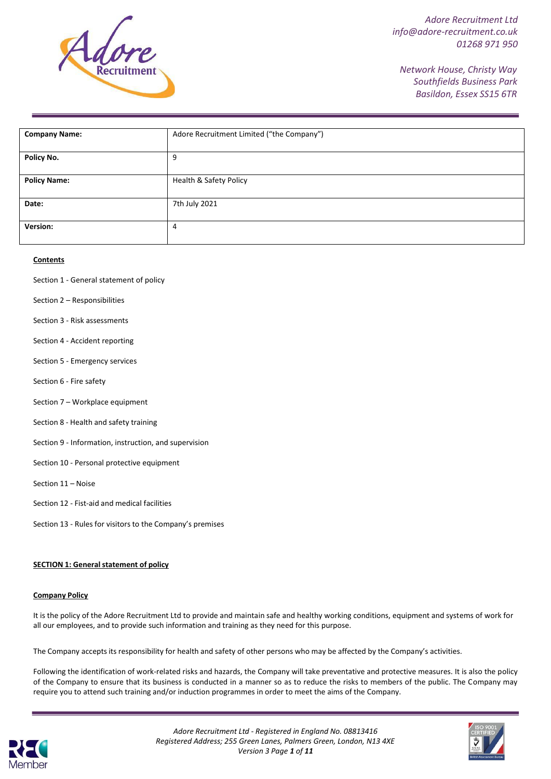

*Network House, Christy Way Southfields Business Park Basildon, Essex SS15 6TR*

| <b>Company Name:</b> | Adore Recruitment Limited ("the Company") |
|----------------------|-------------------------------------------|
|                      |                                           |
|                      |                                           |
| Policy No.           | 9                                         |
|                      |                                           |
|                      |                                           |
| <b>Policy Name:</b>  | Health & Safety Policy                    |
|                      |                                           |
|                      |                                           |
| Date:                | 7th July 2021                             |
|                      |                                           |
|                      |                                           |
| Version:             | 4                                         |
|                      |                                           |
|                      |                                           |

#### **Contents**

- Section 1 General statement of policy
- Section 2 Responsibilities
- Section 3 Risk assessments
- Section 4 Accident reporting
- Section 5 Emergency services
- Section 6 Fire safety
- Section 7 Workplace equipment
- Section 8 Health and safety training
- Section 9 Information, instruction, and supervision
- Section 10 Personal protective equipment
- Section 11 Noise
- Section 12 Fist-aid and medical facilities
- Section 13 Rules for visitors to the Company's premises

#### **SECTION 1: Generalstatement of policy**

#### **Company Policy**

It is the policy of the Adore Recruitment Ltd to provide and maintain safe and healthy working conditions, equipment and systems of work for all our employees, and to provide such information and training as they need for this purpose.

The Company acceptsits responsibility for health and safety of other persons who may be affected by the Company's activities.

Following the identification of work-related risks and hazards, the Company will take preventative and protective measures. It is also the policy of the Company to ensure that its business is conducted in a manner so as to reduce the risks to members of the public. The Company may require you to attend such training and/or induction programmes in order to meet the aims of the Company.



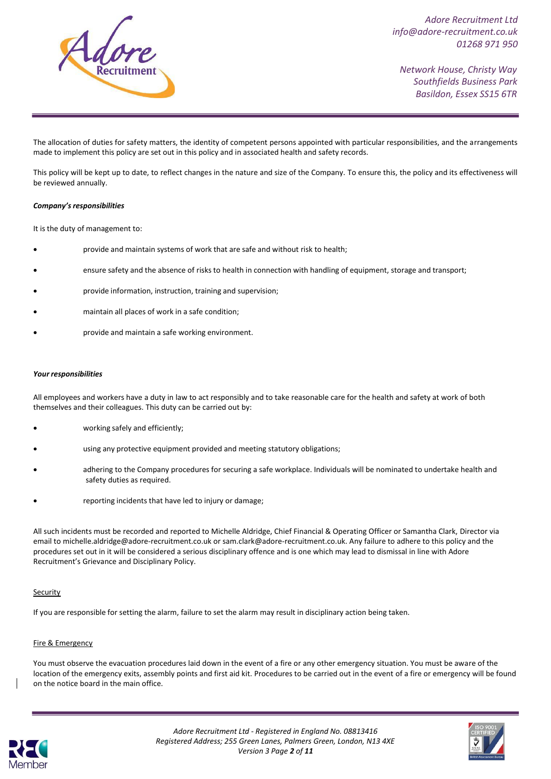

*Network House, Christy Way Southfields Business Park Basildon, Essex SS15 6TR*

The allocation of duties for safety matters, the identity of competent persons appointed with particular responsibilities, and the arrangements made to implement this policy are set out in this policy and in associated health and safety records.

This policy will be kept up to date, to reflect changes in the nature and size of the Company. To ensure this, the policy and its effectiveness will be reviewed annually.

#### *Company's responsibilities*

It is the duty of management to:

- provide and maintain systems of work that are safe and without risk to health;
- ensure safety and the absence of risks to health in connection with handling of equipment, storage and transport;
- provide information, instruction, training and supervision;
- maintain all places of work in a safe condition;
- provide and maintain a safe working environment.

#### *Your responsibilities*

All employees and workers have a duty in law to act responsibly and to take reasonable care for the health and safety at work of both themselves and their colleagues. This duty can be carried out by:

- working safely and efficiently;
- using any protective equipment provided and meeting statutory obligations;
- adhering to the Company procedures for securing a safe workplace. Individuals will be nominated to undertake health and safety duties as required.
- reporting incidents that have led to injury or damage;

All such incidents must be recorded and reported to Michelle Aldridge, Chief Financial & Operating Officer or Samantha Clark, Director via email to [michelle.aldridge@adore-recruitment.co.uk o](mailto:michelle.aldridge@adore-recruitment.co.uk)[r sam.clark@adore-recruitment.co.uk. A](mailto:sam.clark@adore-recruitment.co.uk)ny failure to adhere to this policy and the procedures set out in it will be considered a serious disciplinary offence and is one which may lead to dismissal in line with Adore Recruitment's Grievance and Disciplinary Policy.

#### Security

If you are responsible for setting the alarm, failure to set the alarm may result in disciplinary action being taken.

#### Fire & Emergency

You must observe the evacuation procedures laid down in the event of a fire or any other emergency situation. You must be aware of the location of the emergency exits, assembly points and first aid kit. Procedures to be carried out in the event of a fire or emergency will be found on the notice board in the main office.



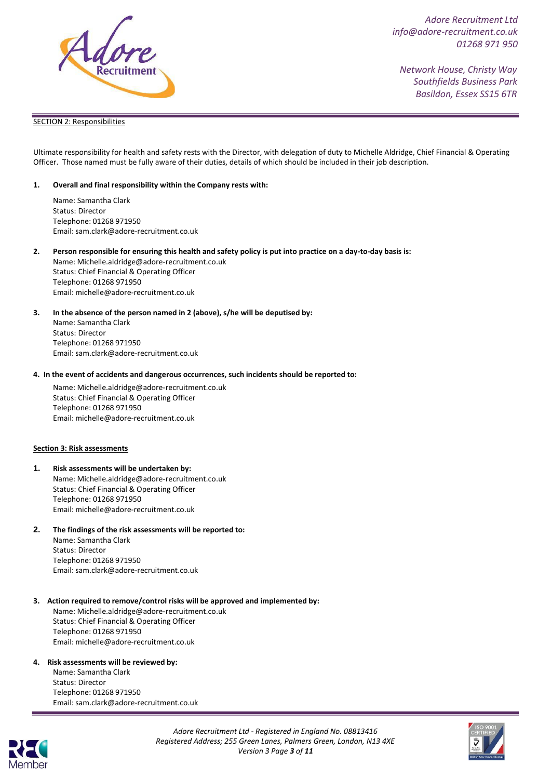

*Network House, Christy Way Southfields Business Park Basildon, Essex SS15 6TR*

#### SECTION 2: Responsibilities

Ultimate responsibility for health and safety rests with the Director, with delegation of duty to Michelle Aldridge, Chief Financial & Operating Officer. Those named must be fully aware of their duties, details of which should be included in their job description.

#### **1. Overall and final responsibility within the Company rests with:**

Name: Samantha Clark Status: Director Telephone: 01268 971950 Email: [sam.clark@adore-recruitment.co.uk](mailto:sam.clark@adore-recruitment.co.uk)

2. Person responsible for ensuring this health and safety policy is put into practice on a day-to-day basis is:

Name[: Michelle.aldridge@adore-recruitment.co.uk](mailto:Michelle.aldridge@adore-recruitment.co.uk) Status: Chief Financial & Operating Officer Telephone: 01268 971950 Email: [michelle@adore-recruitment.co.uk](mailto:michelle@adore-recruitment.co.uk)

#### **3. In the absence of the person named in 2 (above), s/he will be deputised by:** Name: Samantha Clark

Status: Director Telephone: 01268 971950 Email: [sam.clark@adore-recruitment.co.uk](mailto:sam.clark@adore-recruitment.co.uk)

#### **4. In the event of accidents and dangerous occurrences, such incidents should be reported to:**

Name[: Michelle.aldridge@adore-recruitment.co.uk](mailto:Michelle.aldridge@adore-recruitment.co.uk) Status: Chief Financial & Operating Officer Telephone: 01268 971950 Email: [michelle@adore-recruitment.co.uk](mailto:michelle@adore-recruitment.co.uk)

#### **Section 3: Risk assessments**

#### **1. Risk assessments will be undertaken by:** Name[: Michelle.aldridge@adore-recruitment.co.uk](mailto:Michelle.aldridge@adore-recruitment.co.uk) Status: Chief Financial & Operating Officer Telephone: 01268 971950 Email: [michelle@adore-recruitment.co.uk](mailto:michelle@adore-recruitment.co.uk)

#### **2. The findings of the risk assessments will be reported to:** Name: Samantha Clark Status: Director Telephone: 01268 971950 Email: [sam.clark@adore-recruitment.co.uk](mailto:sam.clark@adore-recruitment.co.uk)

# **3. Action required to remove/control risks will be approved and implemented by:**

Name[: Michelle.aldridge@adore-recruitment.co.uk](mailto:Michelle.aldridge@adore-recruitment.co.uk) Status: Chief Financial & Operating Officer Telephone: 01268 971950 Email: [michelle@adore-recruitment.co.uk](mailto:michelle@adore-recruitment.co.uk)

#### **4. Risk assessments will be reviewed by:**

Name: Samantha Clark Status: Director Telephone: 01268 971950 Email: [sam.clark@adore-recruitment.co.uk](mailto:sam.clark@adore-recruitment.co.uk)





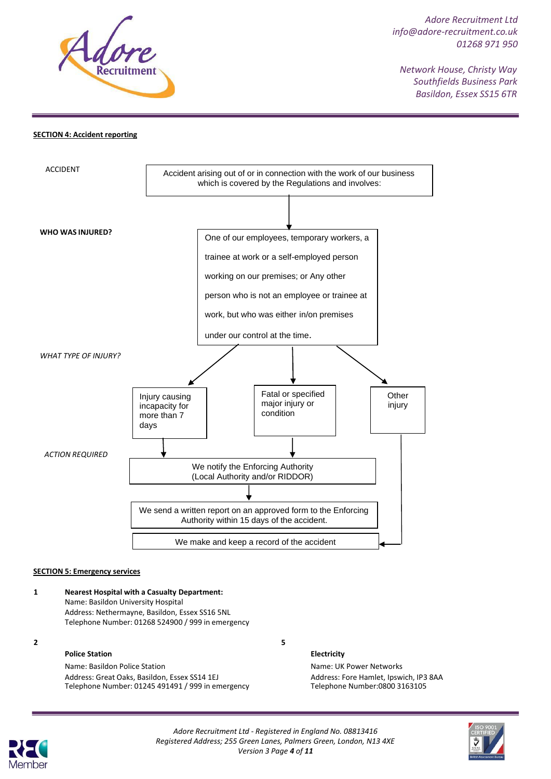

*Network House, Christy Way Southfields Business Park Basildon, Essex SS15 6TR*

#### **SECTION 4: Accident reporting**



#### **SECTION 5: Emergency services**

#### **1 Nearest Hospital with a Casualty Department:** Name: Basildon University Hospital Address: Nethermayne, Basildon, Essex SS16 5NL Telephone Number: 01268 524900 / 999 in emergency

**2 5**

#### **Police Station**

Name: Basildon Police Station Address: Great Oaks, Basildon, Essex SS14 1EJ Telephone Number: 01245 491491 / 999 in emergency

**Electricity**

Name: UK Power Networks Address: Fore Hamlet, Ipswich, IP3 8AA Telephone Number:0800 3163105



*Adore Recruitment Ltd - Registered in England No. 08813416 Registered Address; 255 Green Lanes, Palmers Green, London, N13 4XE Version 3 Page 4 of 11*

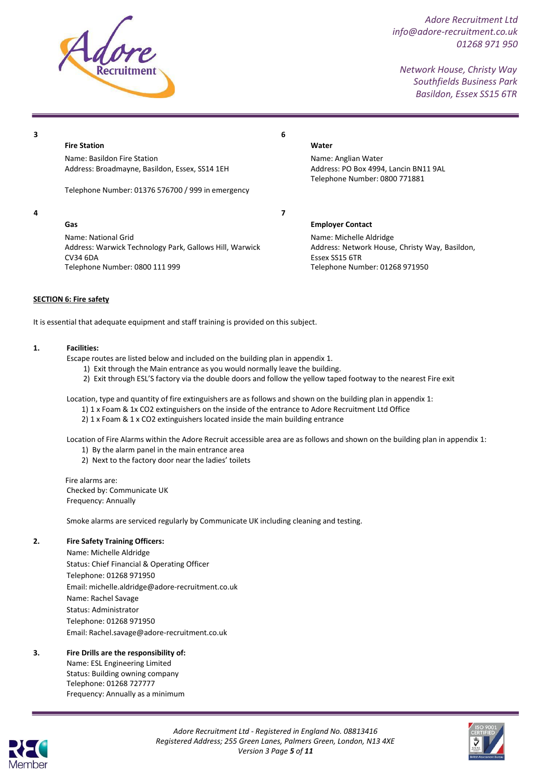

*Network House, Christy Way Southfields Business Park Basildon, Essex SS15 6TR*

**3**

**Fire Station**

Name: Basildon Fire Station Address: Broadmayne, Basildon, Essex, SS14 1EH

Telephone Number: 01376 576700 / 999 in emergency

# **4**

**Gas** Name: National Grid

Address: Warwick Technology Park, Gallows Hill, Warwick CV34 6DA Telephone Number: 0800 111 999

# **Water**

**6**

**7**

Name: Anglian Water Address: PO Box 4994, Lancin BN11 9AL Telephone Number: 0800 771881

**Employer Contact**

Name: Michelle Aldridge Address: Network House, Christy Way, Basildon, Essex SS15 6TR Telephone Number: 01268 971950

#### **SECTION 6: Fire safety**

It is essential that adequate equipment and staff training is provided on this subject.

#### **1. Facilities:**

Escape routes are listed below and included on the building plan in appendix 1.

- 1) Exit through the Main entrance as you would normally leave the building.
- 2) Exit through ESL'S factory via the double doors and follow the yellow taped footway to the nearest Fire exit

Location, type and quantity of fire extinguishers are as follows and shown on the building plan in appendix 1:

- 1) 1 x Foam & 1x CO2 extinguishers on the inside of the entrance to Adore Recruitment Ltd Office
- 2) 1 x Foam & 1 x CO2 extinguishers located inside the main building entrance

Location of Fire Alarms within the Adore Recruit accessible area are as follows and shown on the building plan in appendix 1:

- 1) By the alarm panel in the main entrance area
- 2) Next to the factory door near the ladies' toilets

Fire alarms are: Checked by: Communicate UK Frequency: Annually

Smoke alarms are serviced regularly by Communicate UK including cleaning and testing.

### **2. Fire Safety Training Officers:**

Name: Michelle Aldridge Status: Chief Financial & Operating Officer Telephone: 01268 971950 Email[: michelle.aldridge@adore-recruitment.co.uk](mailto:michelle.aldridge@adore-recruitment.co.uk) Name: Rachel Savage Status: Administrator Telephone: 01268 971950 Email: Rachel.savage[@adore-recruitment.co.u](mailto:Daniel.wells@adore-recruitment.co.uk)k

### **3. Fire Drills are the responsibility of:**

Name: ESL Engineering Limited Status: Building owning company Telephone: 01268 727777 Frequency: Annually as a minimum





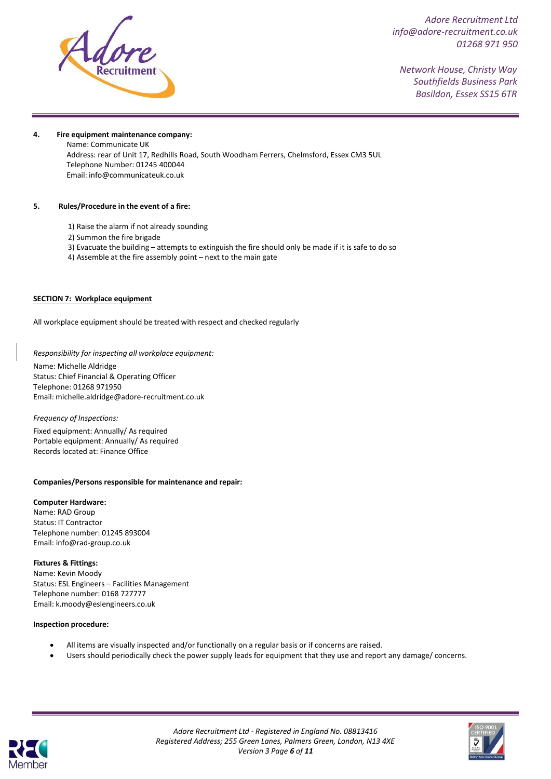

*Network House, Christy Way Southfields Business Park Basildon, Essex SS15 6TR*

#### **4. Fire equipment maintenance company:**

Name: Communicate UK Address: rear of Unit 17, Redhills Road, South Woodham Ferrers, Chelmsford, Essex CM3 5UL Telephone Number: 01245 400044 Email: [info@communicateuk.co.uk](mailto:info@communicateuk.co.uk)

#### **5. Rules/Procedure in the event of a fire:**

- 1) Raise the alarm if not already sounding
- 2) Summon the fire brigade
- 3) Evacuate the building attempts to extinguish the fire should only be made if it is safe to do so
- 4) Assemble at the fire assembly point next to the main gate

#### **SECTION 7: Workplace equipment**

All workplace equipment should be treated with respect and checked regularly

*Responsibility for inspecting all workplace equipment:*

Name: Michelle Aldridge Status: Chief Financial & Operating Officer Telephone: 01268 971950 Email: [michelle.aldridge@adore-recruitment.co.uk](mailto:michelle.aldridge@adore-recruitment.co.uk)

#### *Frequency of Inspections:*

Fixed equipment: Annually/ As required Portable equipment: Annually/ As required Records located at: Finance Office

#### **Companies/Persons responsible for maintenance and repair:**

#### **Computer Hardware:**

Name: RAD Group Status: IT Contractor Telephone number: 01245 893004 Email: [info@rad-group.co.uk](mailto:info@rad-group.co.uk)

#### **Fixtures & Fittings:**

Name: Kevin Moody Status: ESL Engineers – Facilities Management Telephone number: 0168 727777 Email: [k.moody@eslengineers.co.uk](mailto:k.moody@eslengineers.co.uk)

#### **Inspection procedure:**

- All items are visually inspected and/or functionally on a regular basis or if concerns are raised.
- Users should periodically check the power supply leads for equipment that they use and report any damage/ concerns.



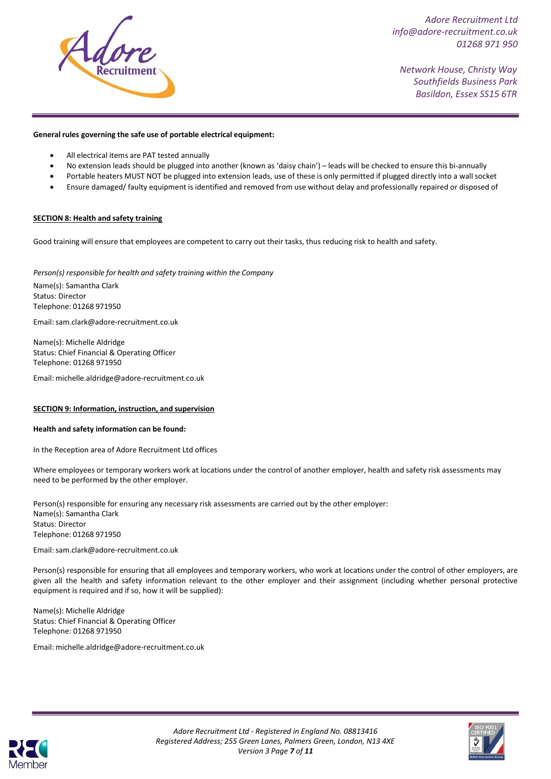

*Network House, Christy Way Southfields Business Park Basildon, Essex SS15 6TR*

#### **General rules governing the safe use of portable electrical equipment:**

- All electrical items are PAT tested annually
- No extension leads should be plugged into another (known as 'daisy chain') leads will be checked to ensure this bi-annually
- Portable heaters MUST NOT be plugged into extension leads, use of these is only permitted if plugged directly into a wall socket
- Ensure damaged/ faulty equipment is identified and removed from use without delay and professionally repaired or disposed of

#### **SECTION 8: Health and safety training**

Good training will ensure that employees are competent to carry out their tasks, thus reducing risk to health and safety.

*Person(s) responsible for health and safety training within the Company*

Name(s): Samantha Clark Status: Director Telephone: 01268 971950

Email[:sam.clark@adore-recruitment.co.uk](mailto:sam.clark@adore-recruitment.co.uk)

Name(s): Michelle Aldridge Status: Chief Financial & Operating Officer Telephone: 01268 971950

Email: [michelle.aldridge@adore-recruitment.co.uk](mailto:michelle.aldridge@adore-recruitment.co.uk)

#### **SECTION 9: Information, instruction, and supervision**

#### **Health and safety information can be found:**

In the Reception area of Adore Recruitment Ltd offices

Where employees or temporary workers work at locations under the control of another employer, health and safety risk assessments may need to be performed by the other employer.

Person(s) responsible for ensuring any necessary risk assessments are carried out by the other employer: Name(s): Samantha Clark Status: Director Telephone: 01268 971950

Email[:sam.clark@adore-recruitment.co.uk](mailto:sam.clark@adore-recruitment.co.uk)

Person(s) responsible for ensuring that all employees and temporary workers, who work at locations under the control of other employers, are given all the health and safety information relevant to the other employer and their assignment (including whether personal protective equipment is required and if so, how it will be supplied):

Name(s): Michelle Aldridge Status: Chief Financial & Operating Officer Telephone: 01268 971950

Email: [michelle.aldridge@adore-recruitment.co.uk](mailto:michelle.aldridge@adore-recruitment.co.uk)



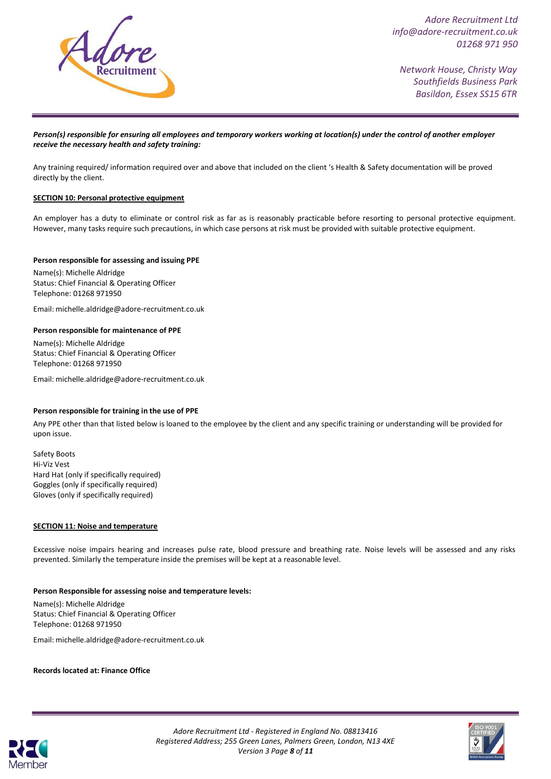

*Network House, Christy Way Southfields Business Park Basildon, Essex SS15 6TR*

#### *Person(s) responsible for ensuring all employees and temporary workers working at location(s) under the control of another employer receive the necessary health and safety training:*

Any training required/ information required over and above that included on the client 's Health & Safety documentation will be proved directly by the client.

#### **SECTION 10: Personal protective equipment**

An employer has a duty to eliminate or control risk as far as is reasonably practicable before resorting to personal protective equipment. However, many tasks require such precautions, in which case persons at risk must be provided with suitable protective equipment.

#### **Person responsible for assessing and issuing PPE**

Name(s): Michelle Aldridge Status: Chief Financial & Operating Officer Telephone: 01268 971950

Email: [michelle.aldridge@adore-recruitment.co.uk](mailto:michelle.aldridge@adore-recruitment.co.uk)

#### **Person responsible for maintenance of PPE**

Name(s): Michelle Aldridge Status: Chief Financial & Operating Officer Telephone: 01268 971950

Email: [michelle.aldridge@adore-recruitment.co.uk](mailto:michelle.aldridge@adore-recruitment.co.uk)

#### **Person responsible for training in the use of PPE**

Any PPE other than that listed below is loaned to the employee by the client and any specific training or understanding will be provided for upon issue.

Safety Boots Hi-Viz Vest Hard Hat (only if specifically required) Goggles (only if specifically required) Gloves (only if specifically required)

#### **SECTION 11: Noise and temperature**

Excessive noise impairs hearing and increases pulse rate, blood pressure and breathing rate. Noise levels will be assessed and any risks prevented. Similarly the temperature inside the premises will be kept at a reasonable level.

#### **Person Responsible for assessing noise and temperature levels:**

Name(s): Michelle Aldridge Status: Chief Financial & Operating Officer Telephone: 01268 971950

Email: [michelle.aldridge@adore-recruitment.co.uk](mailto:michelle.aldridge@adore-recruitment.co.uk)

**Records located at: Finance Office**



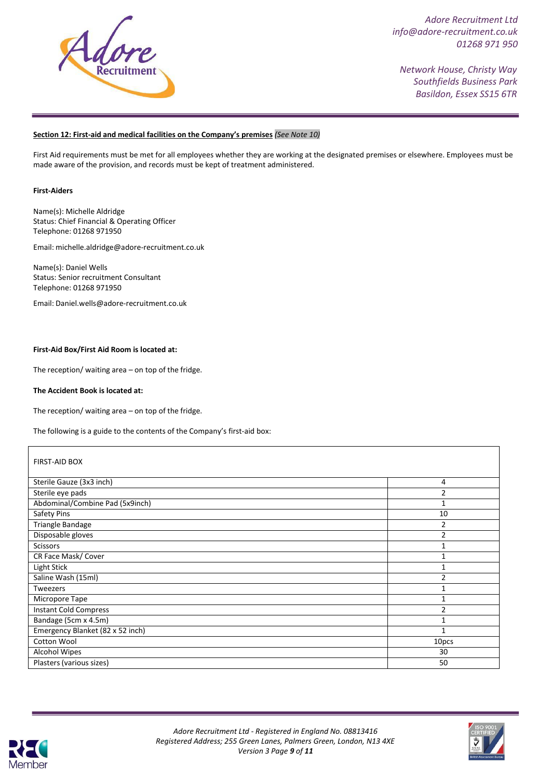

*Network House, Christy Way Southfields Business Park Basildon, Essex SS15 6TR*

## **Section 12: First-aid and medical facilities on the Company's premises** *(See Note 10)*

First Aid requirements must be met for all employees whether they are working at the designated premises or elsewhere. Employees must be made aware of the provision, and records must be kept of treatment administered.

#### **First-Aiders**

Name(s): Michelle Aldridge Status: Chief Financial & Operating Officer Telephone: 01268 971950

Email: [michelle.aldridge@adore-recruitment.co.uk](mailto:michelle.aldridge@adore-recruitment.co.uk)

Name(s): Daniel Wells Status: Senior recruitment Consultant Telephone: 01268 971950

Email: [Daniel.wells@adore-recruitment.co.uk](mailto:Daniel.wells@adore-recruitment.co.uk)

#### **First-Aid Box/First Aid Room is located at:**

The reception/ waiting area – on top of the fridge.

#### **The Accident Book is located at:**

The reception/ waiting area – on top of the fridge.

The following is a guide to the contents of the Company's first-aid box:

| <b>FIRST-AID BOX</b>             |                |  |
|----------------------------------|----------------|--|
| Sterile Gauze (3x3 inch)         | 4              |  |
| Sterile eye pads                 | 2              |  |
| Abdominal/Combine Pad (5x9inch)  | 1              |  |
| Safety Pins                      | 10             |  |
| Triangle Bandage                 | $\overline{2}$ |  |
| Disposable gloves                | $\overline{2}$ |  |
| <b>Scissors</b>                  | $\mathbf{1}$   |  |
| CR Face Mask/ Cover              | 1              |  |
| Light Stick                      | $\mathbf{1}$   |  |
| Saline Wash (15ml)               | $\overline{2}$ |  |
| Tweezers                         | 1              |  |
| Micropore Tape                   | $\mathbf{1}$   |  |
| <b>Instant Cold Compress</b>     | $\overline{2}$ |  |
| Bandage (5cm x 4.5m)             | $\mathbf{1}$   |  |
| Emergency Blanket (82 x 52 inch) | 1              |  |
| Cotton Wool                      | 10pcs          |  |
| <b>Alcohol Wipes</b>             | 30             |  |
| Plasters (various sizes)         | 50             |  |



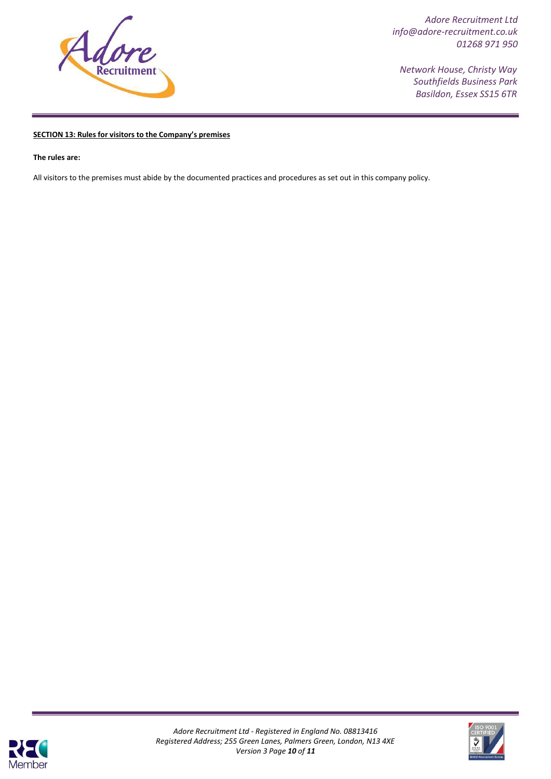

*Network House, Christy Way Southfields Business Park Basildon, Essex SS15 6TR*

#### **SECTION 13: Rules for visitors to the Company's premises**

**The rules are:**

All visitors to the premises must abide by the documented practices and procedures as set out in this company policy.